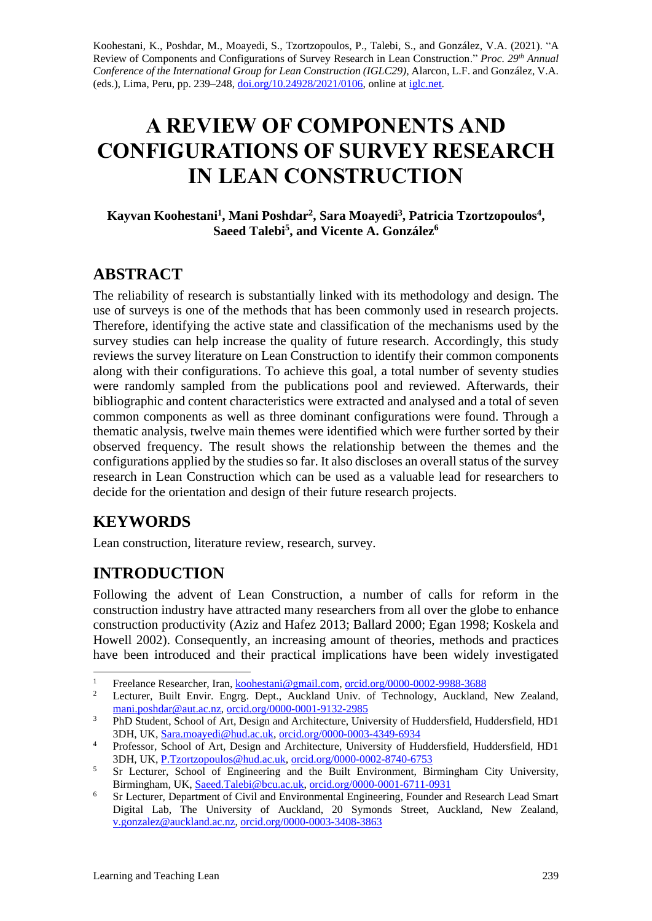Koohestani, K., Poshdar, M., Moayedi, S., Tzortzopoulos, P., Talebi, S., and González, V.A. (2021). "A Review of Components and Configurations of Survey Research in Lean Construction." *Proc. 29 th Annual Conference of the International Group for Lean Construction (IGLC29),* Alarcon, L.F. and González, V.A. (eds.)*,* Lima, Peru, pp. 239–248, [doi.org/10.24928/2021/0106,](https://doi.org/10.24928/2021/0106) online a[t iglc.net.](http://iglc.net/)

# **A REVIEW OF COMPONENTS AND CONFIGURATIONS OF SURVEY RESEARCH IN LEAN CONSTRUCTION**

**Kayvan Koohestani<sup>1</sup> , Mani Poshdar<sup>2</sup> , Sara Moayedi<sup>3</sup> , Patricia Tzortzopoulos<sup>4</sup> , Saeed Talebi<sup>5</sup> , and Vicente A. González<sup>6</sup>**

### **ABSTRACT**

The reliability of research is substantially linked with its methodology and design. The use of surveys is one of the methods that has been commonly used in research projects. Therefore, identifying the active state and classification of the mechanisms used by the survey studies can help increase the quality of future research. Accordingly, this study reviews the survey literature on Lean Construction to identify their common components along with their configurations. To achieve this goal, a total number of seventy studies were randomly sampled from the publications pool and reviewed. Afterwards, their bibliographic and content characteristics were extracted and analysed and a total of seven common components as well as three dominant configurations were found. Through a thematic analysis, twelve main themes were identified which were further sorted by their observed frequency. The result shows the relationship between the themes and the configurations applied by the studies so far. It also discloses an overall status of the survey research in Lean Construction which can be used as a valuable lead for researchers to decide for the orientation and design of their future research projects.

## **KEYWORDS**

Lean construction, literature review, research, survey.

## **INTRODUCTION**

Following the advent of Lean Construction, a number of calls for reform in the construction industry have attracted many researchers from all over the globe to enhance construction productivity (Aziz and Hafez 2013; Ballard 2000; Egan 1998; Koskela and Howell 2002). Consequently, an increasing amount of theories, methods and practices have been introduced and their practical implications have been widely investigated

<sup>&</sup>lt;sup>1</sup> Freelance Researcher, Iran, <u>koohestani@gmail.com, [orcid.org/0000-0002-9988-3688](https://orcid.org/0000-0002-9988-3688)</u><br><sup>2</sup> Lectures, Built Favin, Fragge, Bart, Augkland Univ. of Technology, Augkland

<sup>2</sup> Lecturer, Built Envir. Engrg. Dept., Auckland Univ. of Technology, Auckland, New Zealand, [mani.poshdar@aut.ac.nz,](mailto:mani.poshdar@aut.ac.nz) [orcid.org/0000-0001-9132-2985](https://orcid.org/0000-0001-9132-2985)

<sup>&</sup>lt;sup>3</sup> PhD Student, School of Art, Design and Architecture, University of Huddersfield, Huddersfield, HD1 3DH, UK, [Sara.moayedi@hud.ac.uk,](mailto:Sara.moayedi@hud.ac.uk) [orcid.org/0000-0003-4349-6934](https://orcid.org/0000-0003-4349-6934)

<sup>4</sup> Professor, School of Art, Design and Architecture, University of Huddersfield, Huddersfield, HD1 3DH, UK, [P.Tzortzopoulos@hud.ac.uk,](mailto:P.Tzortzopoulos@hud.ac.uk) [orcid.org/0000-0002-8740-6753](https://orcid.org/0000-0002-8740-6753)

<sup>&</sup>lt;sup>5</sup> Sr Lecturer, School of Engineering and the Built Environment, Birmingham City University, Birmingham, UK, [Saeed.Talebi@bcu.ac.uk,](mailto:Saeed.Talebi@bcu.ac.uk) [orcid.org/0000-0001-6711-0931](https://orcid.org/0000-0001-6711-0931)

<sup>&</sup>lt;sup>6</sup> Sr Lecturer, Department of Civil and Environmental Engineering, Founder and Research Lead Smart Digital Lab, The University of Auckland, 20 Symonds Street, Auckland, New Zealand, [v.gonzalez@auckland.ac.nz,](mailto:v.gonzalez@auckland.ac.nz) [orcid.org/0000-0003-3408-3863](https://orcid.org/0000-0003-3408-3863)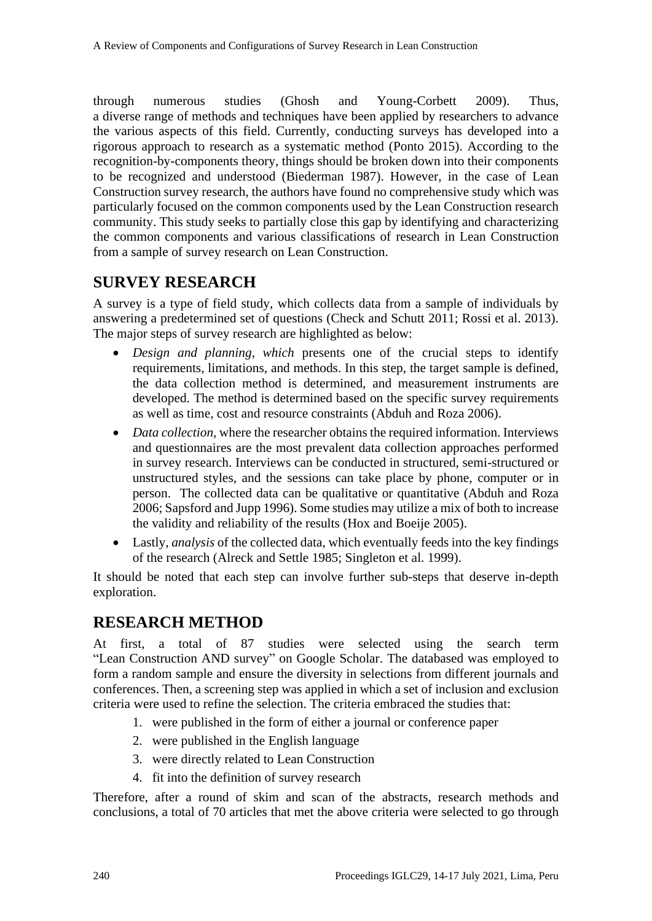through numerous studies (Ghosh and Young-Corbett 2009). Thus, a diverse range of methods and techniques have been applied by researchers to advance the various aspects of this field. Currently, conducting surveys has developed into a rigorous approach to research as a systematic method (Ponto 2015). According to the recognition-by-components theory, things should be broken down into their components to be recognized and understood (Biederman 1987). However, in the case of Lean Construction survey research, the authors have found no comprehensive study which was particularly focused on the common components used by the Lean Construction research community. This study seeks to partially close this gap by identifying and characterizing the common components and various classifications of research in Lean Construction from a sample of survey research on Lean Construction.

## **SURVEY RESEARCH**

A survey is a type of field study, which collects data from a sample of individuals by answering a predetermined set of questions (Check and Schutt 2011; Rossi et al. 2013). The major steps of survey research are highlighted as below:

- *Design and planning, which* presents one of the crucial steps to identify requirements, limitations, and methods. In this step, the target sample is defined, the data collection method is determined, and measurement instruments are developed. The method is determined based on the specific survey requirements as well as time, cost and resource constraints (Abduh and Roza 2006).
- *Data collection*, where the researcher obtains the required information. Interviews and questionnaires are the most prevalent data collection approaches performed in survey research. Interviews can be conducted in structured, semi-structured or unstructured styles, and the sessions can take place by phone, computer or in person. The collected data can be qualitative or quantitative (Abduh and Roza 2006; Sapsford and Jupp 1996). Some studies may utilize a mix of both to increase the validity and reliability of the results (Hox and Boeije 2005).
- Lastly, *analysis* of the collected data, which eventually feeds into the key findings of the research (Alreck and Settle 1985; Singleton et al. 1999).

It should be noted that each step can involve further sub-steps that deserve in-depth exploration.

#### **RESEARCH METHOD**

At first, a total of 87 studies were selected using the search term "Lean Construction AND survey" on Google Scholar. The databased was employed to form a random sample and ensure the diversity in selections from different journals and conferences. Then, a screening step was applied in which a set of inclusion and exclusion criteria were used to refine the selection. The criteria embraced the studies that:

- 1. were published in the form of either a journal or conference paper
- 2. were published in the English language
- 3. were directly related to Lean Construction
- 4. fit into the definition of survey research

Therefore, after a round of skim and scan of the abstracts, research methods and conclusions, a total of 70 articles that met the above criteria were selected to go through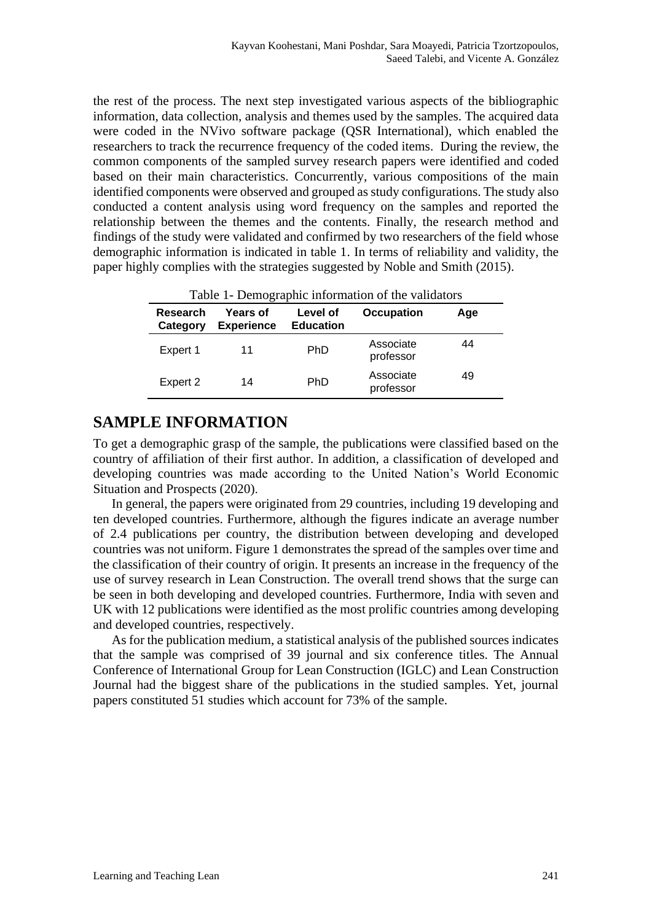the rest of the process. The next step investigated various aspects of the bibliographic information, data collection, analysis and themes used by the samples. The acquired data were coded in the NVivo software package (QSR International), which enabled the researchers to track the recurrence frequency of the coded items. During the review, the common components of the sampled survey research papers were identified and coded based on their main characteristics. Concurrently, various compositions of the main identified components were observed and grouped as study configurations. The study also conducted a content analysis using word frequency on the samples and reported the relationship between the themes and the contents. Finally, the research method and findings of the study were validated and confirmed by two researchers of the field whose demographic information is indicated in table 1. In terms of reliability and validity, the paper highly complies with the strategies suggested by Noble and Smith (2015).

| Table 1- Demographic information of the validators |                                      |                              |                        |     |  |  |  |  |  |
|----------------------------------------------------|--------------------------------------|------------------------------|------------------------|-----|--|--|--|--|--|
| Research<br>Category                               | <b>Years of</b><br><b>Experience</b> | Level of<br><b>Education</b> | <b>Occupation</b>      | Age |  |  |  |  |  |
| Expert 1                                           | 11                                   | <b>PhD</b>                   | Associate<br>professor | 44  |  |  |  |  |  |
| Expert 2                                           | 14                                   | <b>PhD</b>                   | Associate<br>professor | 49  |  |  |  |  |  |

#### **SAMPLE INFORMATION**

To get a demographic grasp of the sample, the publications were classified based on the country of affiliation of their first author. In addition, a classification of developed and developing countries was made according to the United Nation's World Economic Situation and Prospects (2020).

In general, the papers were originated from 29 countries, including 19 developing and ten developed countries. Furthermore, although the figures indicate an average number of 2.4 publications per country, the distribution between developing and developed countries was not uniform. Figure 1 demonstrates the spread of the samples over time and the classification of their country of origin. It presents an increase in the frequency of the use of survey research in Lean Construction. The overall trend shows that the surge can be seen in both developing and developed countries. Furthermore, India with seven and UK with 12 publications were identified as the most prolific countries among developing and developed countries, respectively.

As for the publication medium, a statistical analysis of the published sources indicates that the sample was comprised of 39 journal and six conference titles. The Annual Conference of International Group for Lean Construction (IGLC) and Lean Construction Journal had the biggest share of the publications in the studied samples. Yet, journal papers constituted 51 studies which account for 73% of the sample.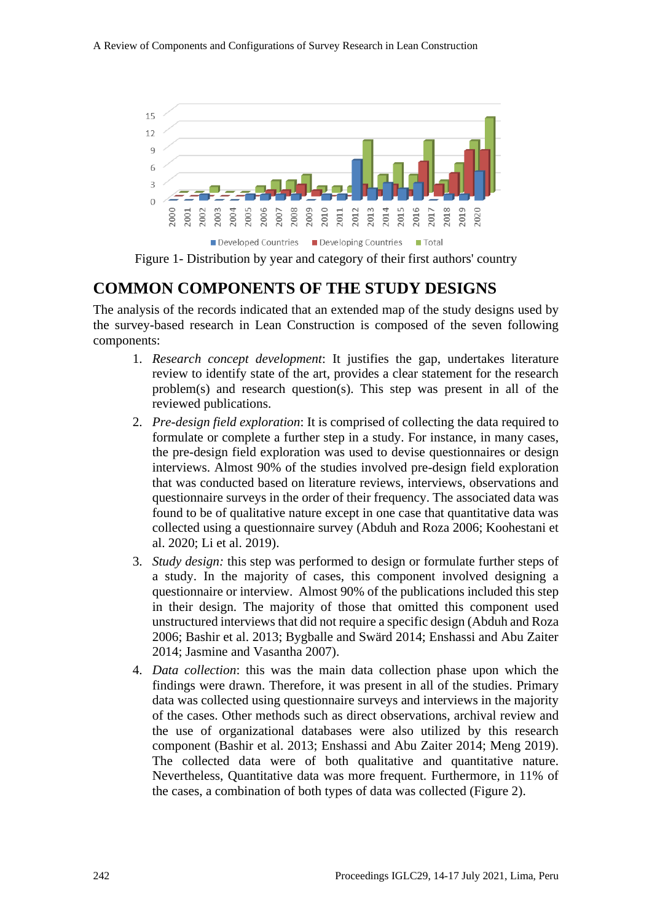

Figure 1- Distribution by year and category of their first authors' country

#### **COMMON COMPONENTS OF THE STUDY DESIGNS**

The analysis of the records indicated that an extended map of the study designs used by the survey-based research in Lean Construction is composed of the seven following components:

- 1. *Research concept development*: It justifies the gap, undertakes literature review to identify state of the art, provides a clear statement for the research problem(s) and research question(s). This step was present in all of the reviewed publications.
- 2. *Pre-design field exploration*: It is comprised of collecting the data required to formulate or complete a further step in a study. For instance, in many cases, the pre-design field exploration was used to devise questionnaires or design interviews. Almost 90% of the studies involved pre-design field exploration that was conducted based on literature reviews, interviews, observations and questionnaire surveys in the order of their frequency. The associated data was found to be of qualitative nature except in one case that quantitative data was collected using a questionnaire survey (Abduh and Roza 2006; Koohestani et al. 2020; Li et al. 2019).
- 3. *Study design:* this step was performed to design or formulate further steps of a study. In the majority of cases, this component involved designing a questionnaire or interview. Almost 90% of the publications included this step in their design. The majority of those that omitted this component used unstructured interviews that did not require a specific design (Abduh and Roza 2006; Bashir et al. 2013; Bygballe and Swärd 2014; Enshassi and Abu Zaiter 2014; Jasmine and Vasantha 2007).
- 4. *Data collection*: this was the main data collection phase upon which the findings were drawn. Therefore, it was present in all of the studies. Primary data was collected using questionnaire surveys and interviews in the majority of the cases. Other methods such as direct observations, archival review and the use of organizational databases were also utilized by this research component (Bashir et al. 2013; Enshassi and Abu Zaiter 2014; Meng 2019). The collected data were of both qualitative and quantitative nature. Nevertheless, Quantitative data was more frequent. Furthermore, in 11% of the cases, a combination of both types of data was collected (Figure 2).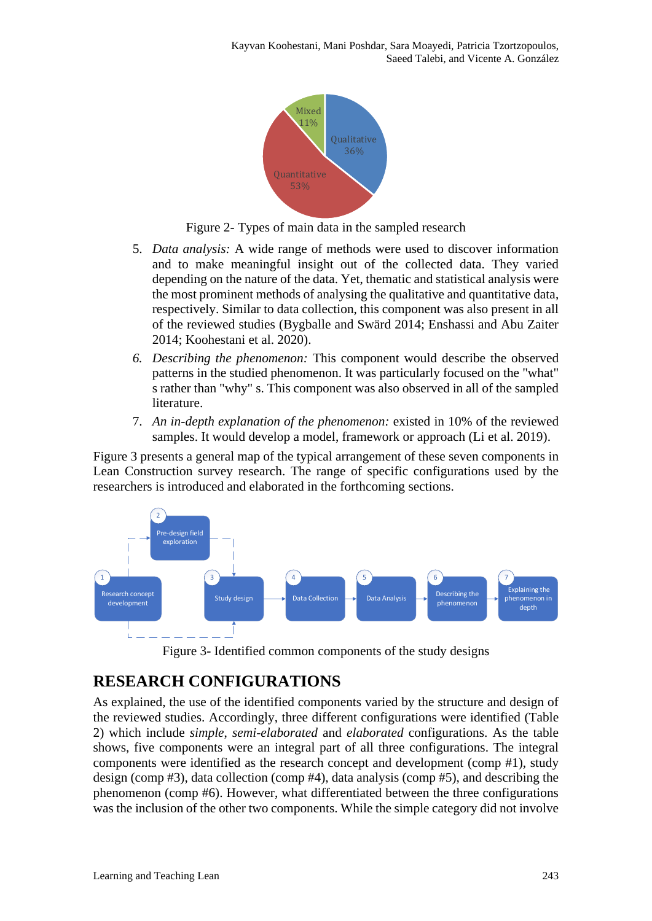

Figure 2- Types of main data in the sampled research

- 5. *Data analysis:* A wide range of methods were used to discover information and to make meaningful insight out of the collected data. They varied depending on the nature of the data. Yet, thematic and statistical analysis were the most prominent methods of analysing the qualitative and quantitative data, respectively. Similar to data collection, this component was also present in all of the reviewed studies (Bygballe and Swärd 2014; Enshassi and Abu Zaiter 2014; Koohestani et al. 2020).
- *6. Describing the phenomenon:* This component would describe the observed patterns in the studied phenomenon. It was particularly focused on the "what" s rather than "why" s. This component was also observed in all of the sampled literature.
- 7. *An in-depth explanation of the phenomenon:* existed in 10% of the reviewed samples. It would develop a model, framework or approach (Li et al. 2019).

Figure 3 presents a general map of the typical arrangement of these seven components in Lean Construction survey research. The range of specific configurations used by the researchers is introduced and elaborated in the forthcoming sections.



Figure 3- Identified common components of the study designs

## **RESEARCH CONFIGURATIONS**

As explained, the use of the identified components varied by the structure and design of the reviewed studies. Accordingly, three different configurations were identified (Table 2) which include *simple*, *semi-elaborated* and *elaborated* configurations. As the table shows, five components were an integral part of all three configurations. The integral components were identified as the research concept and development (comp #1), study design (comp #3), data collection (comp #4), data analysis (comp #5), and describing the phenomenon (comp #6). However, what differentiated between the three configurations was the inclusion of the other two components. While the simple category did not involve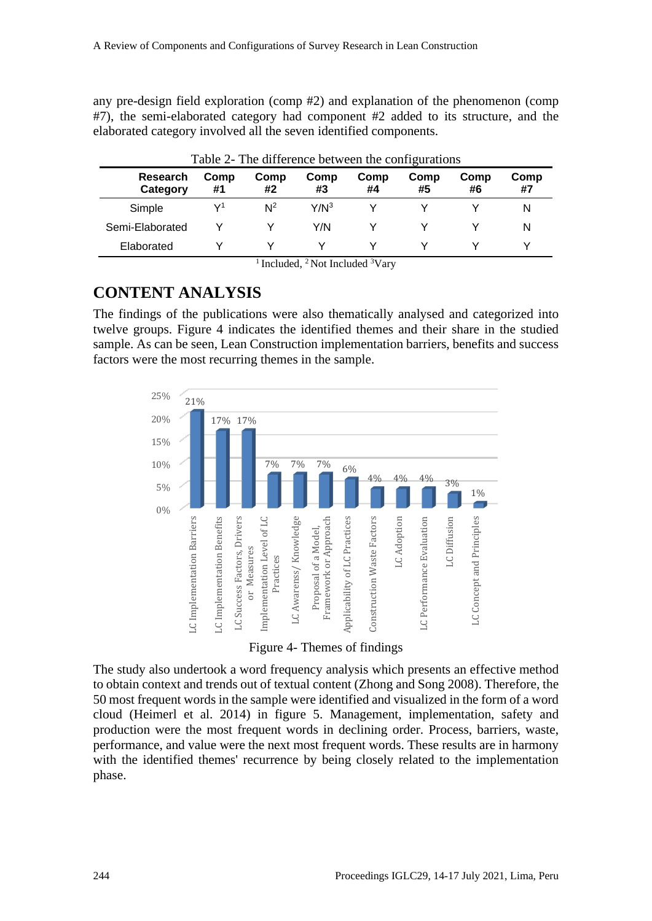any pre-design field exploration (comp #2) and explanation of the phenomenon (comp #7), the semi-elaborated category had component #2 added to its structure, and the elaborated category involved all the seven identified components.

| Table 2- The difference between the configurations |            |            |            |            |            |            |            |  |  |
|----------------------------------------------------|------------|------------|------------|------------|------------|------------|------------|--|--|
| <b>Research</b><br>Category                        | Comp<br>#1 | Comp<br>#2 | Comp<br>#3 | Comp<br>#4 | Comp<br>#5 | Comp<br>#6 | Comp<br>#7 |  |  |
| Simple                                             | V1         | $N^2$      | $Y/N^3$    |            |            |            | N          |  |  |
| Semi-Elaborated                                    |            |            | Y/N        |            |            |            | N          |  |  |
| Elaborated                                         |            |            |            |            |            |            |            |  |  |

<sup>1</sup> Included, <sup>2</sup> Not Included  $3V$ ary

### **CONTENT ANALYSIS**

The findings of the publications were also thematically analysed and categorized into twelve groups. Figure 4 indicates the identified themes and their share in the studied sample. As can be seen, Lean Construction implementation barriers, benefits and success factors were the most recurring themes in the sample.



Figure 4- Themes of findings

The study also undertook a word frequency analysis which presents an effective method to obtain context and trends out of textual content (Zhong and Song 2008). Therefore, the 50 most frequent words in the sample were identified and visualized in the form of a word cloud (Heimerl et al. 2014) in figure 5. Management, implementation, safety and production were the most frequent words in declining order. Process, barriers, waste, performance, and value were the next most frequent words. These results are in harmony with the identified themes' recurrence by being closely related to the implementation phase.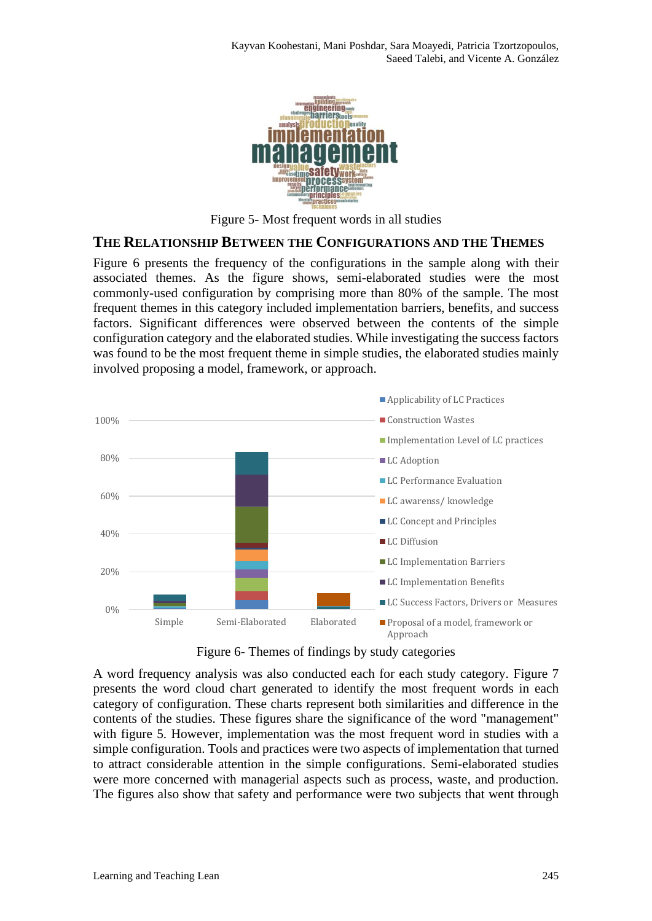

Figure 5- Most frequent words in all studies

#### **THE RELATIONSHIP BETWEEN THE CONFIGURATIONS AND THE THEMES**

Figure 6 presents the frequency of the configurations in the sample along with their associated themes. As the figure shows, semi-elaborated studies were the most commonly-used configuration by comprising more than 80% of the sample. The most frequent themes in this category included implementation barriers, benefits, and success factors. Significant differences were observed between the contents of the simple configuration category and the elaborated studies. While investigating the success factors was found to be the most frequent theme in simple studies, the elaborated studies mainly involved proposing a model, framework, or approach.



Figure 6- Themes of findings by study categories

A word frequency analysis was also conducted each for each study category. Figure 7 presents the word cloud chart generated to identify the most frequent words in each category of configuration. These charts represent both similarities and difference in the contents of the studies. These figures share the significance of the word "management" with figure 5. However, implementation was the most frequent word in studies with a simple configuration. Tools and practices were two aspects of implementation that turned to attract considerable attention in the simple configurations. Semi-elaborated studies were more concerned with managerial aspects such as process, waste, and production. The figures also show that safety and performance were two subjects that went through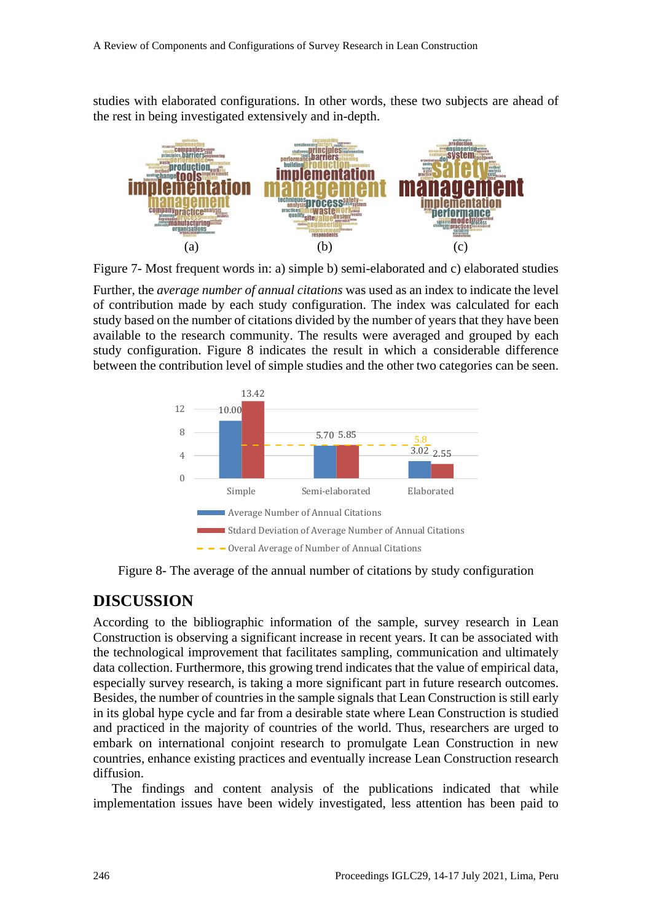studies with elaborated configurations. In other words, these two subjects are ahead of the rest in being investigated extensively and in-depth.



Figure 7- Most frequent words in: a) simple b) semi-elaborated and c) elaborated studies

Further, the *average number of annual citations* was used as an index to indicate the level of contribution made by each study configuration. The index was calculated for each study based on the number of citations divided by the number of years that they have been available to the research community. The results were averaged and grouped by each study configuration. Figure 8 indicates the result in which a considerable difference between the contribution level of simple studies and the other two categories can be seen.



Figure 8- The average of the annual number of citations by study configuration

#### **DISCUSSION**

According to the bibliographic information of the sample, survey research in Lean Construction is observing a significant increase in recent years. It can be associated with the technological improvement that facilitates sampling, communication and ultimately data collection. Furthermore, this growing trend indicates that the value of empirical data, especially survey research, is taking a more significant part in future research outcomes. Besides, the number of countries in the sample signals that Lean Construction is still early in its global hype cycle and far from a desirable state where Lean Construction is studied and practiced in the majority of countries of the world. Thus, researchers are urged to embark on international conjoint research to promulgate Lean Construction in new countries, enhance existing practices and eventually increase Lean Construction research diffusion.

The findings and content analysis of the publications indicated that while implementation issues have been widely investigated, less attention has been paid to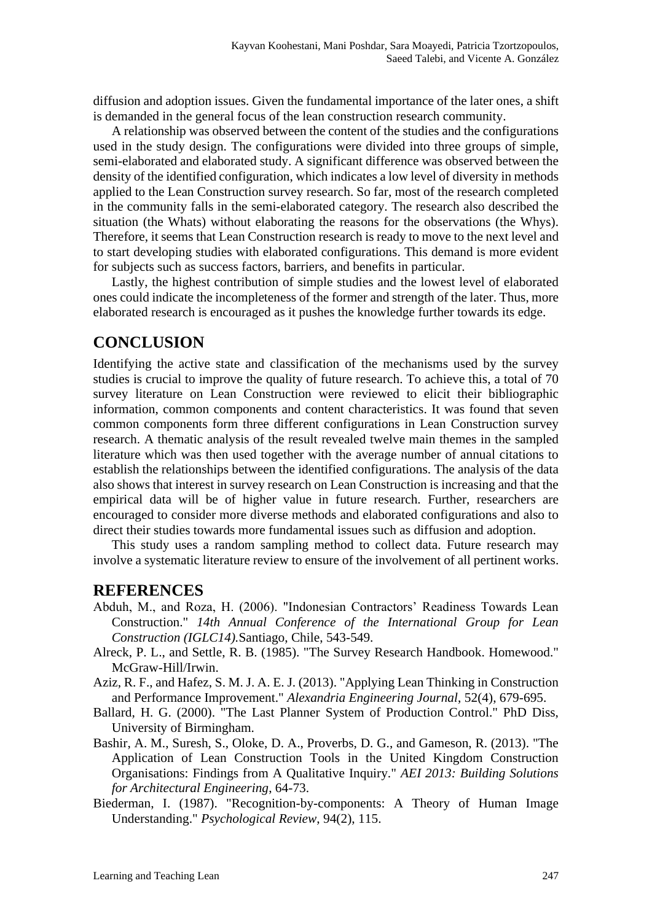diffusion and adoption issues. Given the fundamental importance of the later ones, a shift is demanded in the general focus of the lean construction research community.

A relationship was observed between the content of the studies and the configurations used in the study design. The configurations were divided into three groups of simple, semi-elaborated and elaborated study. A significant difference was observed between the density of the identified configuration, which indicates a low level of diversity in methods applied to the Lean Construction survey research. So far, most of the research completed in the community falls in the semi-elaborated category. The research also described the situation (the Whats) without elaborating the reasons for the observations (the Whys). Therefore, it seems that Lean Construction research is ready to move to the next level and to start developing studies with elaborated configurations. This demand is more evident for subjects such as success factors, barriers, and benefits in particular.

Lastly, the highest contribution of simple studies and the lowest level of elaborated ones could indicate the incompleteness of the former and strength of the later. Thus, more elaborated research is encouraged as it pushes the knowledge further towards its edge.

#### **CONCLUSION**

Identifying the active state and classification of the mechanisms used by the survey studies is crucial to improve the quality of future research. To achieve this, a total of 70 survey literature on Lean Construction were reviewed to elicit their bibliographic information, common components and content characteristics. It was found that seven common components form three different configurations in Lean Construction survey research. A thematic analysis of the result revealed twelve main themes in the sampled literature which was then used together with the average number of annual citations to establish the relationships between the identified configurations. The analysis of the data also shows that interest in survey research on Lean Construction is increasing and that the empirical data will be of higher value in future research. Further, researchers are encouraged to consider more diverse methods and elaborated configurations and also to direct their studies towards more fundamental issues such as diffusion and adoption.

This study uses a random sampling method to collect data. Future research may involve a systematic literature review to ensure of the involvement of all pertinent works.

#### **REFERENCES**

- Abduh, M., and Roza, H. (2006). "Indonesian Contractors' Readiness Towards Lean Construction." *14th Annual Conference of the International Group for Lean Construction (IGLC14).*Santiago, Chile, 543-549.
- Alreck, P. L., and Settle, R. B. (1985). "The Survey Research Handbook. Homewood." McGraw-Hill/Irwin.
- Aziz, R. F., and Hafez, S. M. J. A. E. J. (2013). "Applying Lean Thinking in Construction and Performance Improvement." *Alexandria Engineering Journal*, 52(4), 679-695.
- Ballard, H. G. (2000). "The Last Planner System of Production Control." PhD Diss, University of Birmingham.
- Bashir, A. M., Suresh, S., Oloke, D. A., Proverbs, D. G., and Gameson, R. (2013). "The Application of Lean Construction Tools in the United Kingdom Construction Organisations: Findings from A Qualitative Inquiry." *AEI 2013: Building Solutions for Architectural Engineering*, 64-73.
- Biederman, I. (1987). "Recognition-by-components: A Theory of Human Image Understanding." *Psychological Review*, 94(2), 115.